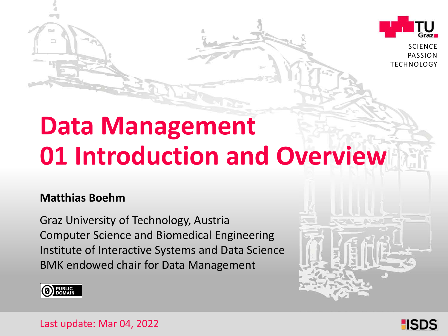

**SCIENCE** PASSION TECHNOLOGY

# **Data Management 01 Introduction and Overview**

#### **Matthias Boehm**

Graz University of Technology, Austria Institute of Interactive Systems and Data Science Computer Science and Biomedical Engineering BMK endowed chair for Data Management





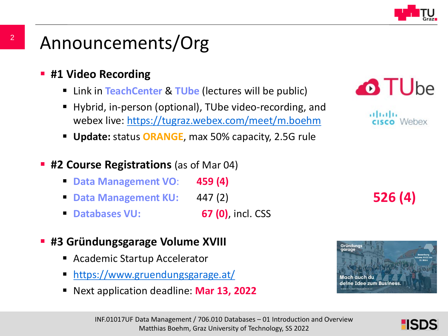

# Announcements/Org

- **#1 Video Recording** 
	- Link in **TeachCenter** & **TUbe** (lectures will be public)
	- Hybrid, in-person (optional), TUbe video-recording, and webex live: <https://tugraz.webex.com/meet/m.boehm>
	- **Update:** status **ORANGE**, max 50% capacity, 2.5G rule
- **#2 Course Registrations** (as of Mar 04)
	- **Data Management VO**: **459 (4)**
	- **Data Management KU:** 447 (2)
	- **Databases VU: 67 (0)**, incl. CSS
- **#3 Gründungsgarage Volume XVIII**
	- Academic Startup Accelerator
	- <https://www.gruendungsgarage.at/>
	- Next application deadline: **Mar 13, 2022**



ahaha Webex

**526 (4)**



HSDS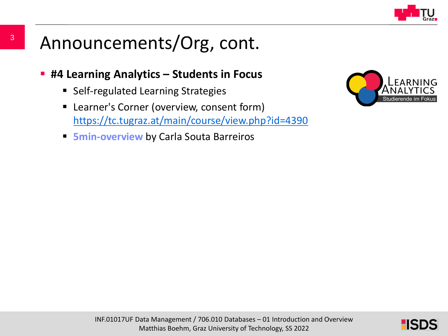

# Announcements/Org, cont.

- **#4 Learning Analytics – Students in Focus** 
	- Self-regulated Learning Strategies
	- **EXTER:** Learner's Corner (overview, consent form) <https://tc.tugraz.at/main/course/view.php?id=4390>
	- **5min-overview** by Carla Souta Barreiros



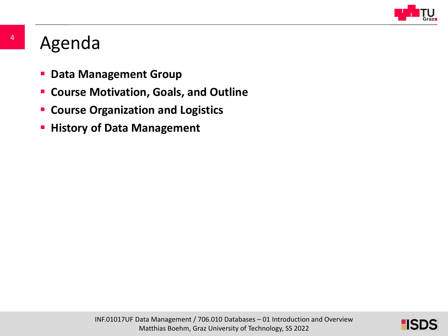

## Agenda

- **P** Data Management Group
- **Course Motivation, Goals, and Outline**
- **EX Course Organization and Logistics**
- **History of Data Management**

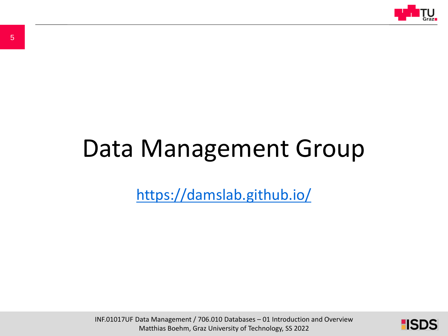

# Data Management Group

<https://damslab.github.io/>

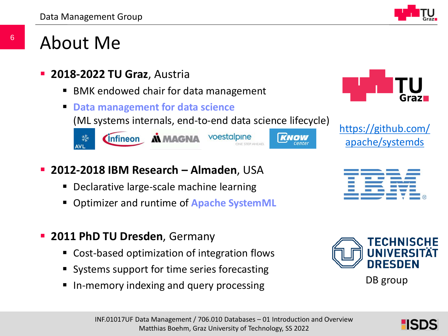

### About Me

- **2018-2022 TU Graz**, Austria
	- BMK endowed chair for data management
	- **Data management for data science**

(ML systems internals, end-to-end data science lifecycle)





Center

- **2012-2018 IBM Research – Almaden**, USA
	- **Declarative large-scale machine learning**
	- Optimizer and runtime of **Apache SystemML**
- **2011 PhD TU Dresden**, Germany
	- Cost-based optimization of integration flows
	- Systems support for time series forecasting
	- In-memory indexing and query processing



[https://github.com/](https://github.com/apache/systemds) apache/systemds





6

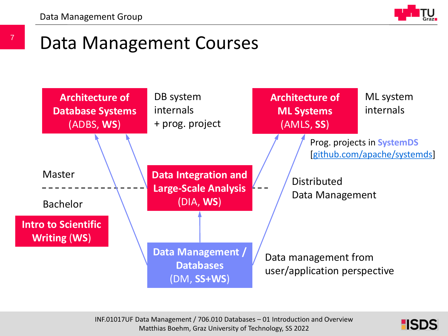7

# Data Management Courses



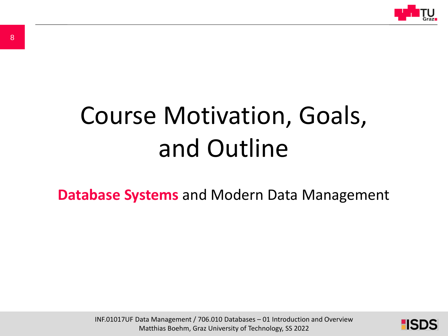

# Course Motivation, Goals, and Outline

**Database Systems** and Modern Data Management

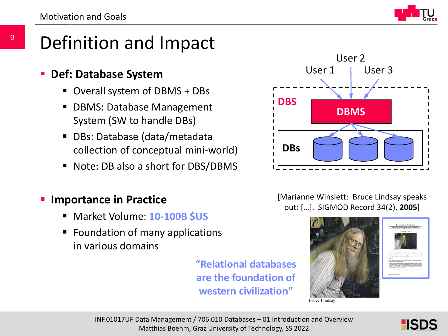

# Definition and Impact

#### **Def: Database System**

- Overall system of DBMS + DBs
- **DBMS: Database Management** System (SW to handle DBs)
- DBs: Database (data/metadata collection of conceptual mini-world)
- Note: DB also a short for DBS/DBMS

#### **Importance in Practice**

- Market Volume: **10-100B \$US**
- **Figure 1** Foundation of many applications in various domains

**"Relational databases are the foundation of western civilization"**



#### [Marianne Winslett: Bruce Lindsay speaks out: […]. SIGMOD Record 34(2), **2005**]



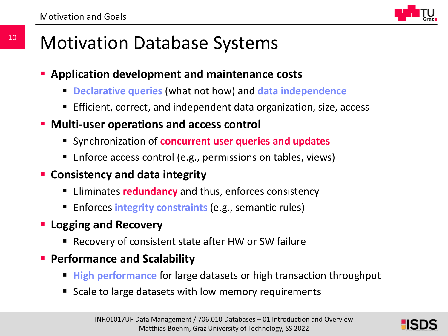

# Motivation Database Systems

- **Application development and maintenance costs**
	- **Declarative queries** (what not how) and **data independence**
	- Efficient, correct, and independent data organization, size, access
- **Multi-user operations and access control**
	- Synchronization of **concurrent user queries and updates**
	- Enforce access control (e.g., permissions on tables, views)
- **Consistency and data integrity**
	- Eliminates **redundancy** and thus, enforces consistency
	- **Enforces integrity constraints** (e.g., semantic rules)
- **Logging and Recovery**
	- Recovery of consistent state after HW or SW failure
- **Performance and Scalability**
	- **High performance** for large datasets or high transaction throughput
	- Scale to large datasets with low memory requirements

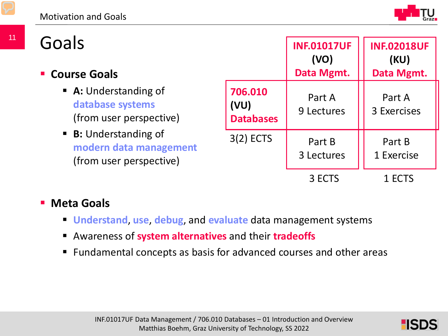Goals

#### **Course Goals**

- **A:** Understanding of **database systems** (from user perspective)
- **B:** Understanding of **modern data management**  (from user perspective)

|                                     | <b>INF.01017UF</b><br>(VO)<br>Data Mgmt. | <b>INF.02018UF</b><br>(KU)<br>Data Mgmt. |
|-------------------------------------|------------------------------------------|------------------------------------------|
| 706.010<br>(VU)<br><b>Databases</b> | Part A<br>9 Lectures                     | Part A<br>3 Exercises                    |
| $3(2)$ ECTS                         | Part B<br>3 Lectures                     | Part B<br>1 Exercise                     |
|                                     | 3 ECTS                                   | 1 ECTS                                   |

#### **Meta Goals**

- **Understand**, **use**, **debug**, and **evaluate** data management systems
- Awareness of **system alternatives** and their **tradeoffs**
- Fundamental concepts as basis for advanced courses and other areas

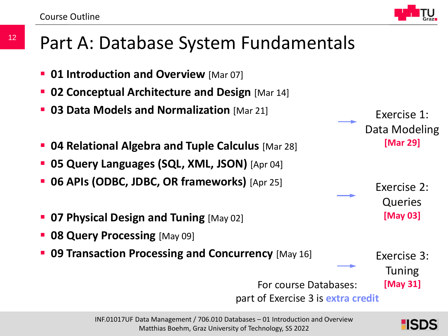12

## Part A: Database System Fundamentals

- **01 Introduction and Overview** [Mar 07]
- **02 Conceptual Architecture and Design** [Mar 14]
- **03 Data Models and Normalization** [Mar 21]
- **04 Relational Algebra and Tuple Calculus** [Mar 28]
- **05 Query Languages (SQL, XML, JSON)** [Apr 04]
- **06 APIs (ODBC, JDBC, OR frameworks)** [Apr 25]
- **07 Physical Design and Tuning** [May 02]
- **08 Query Processing** [May 09]
- **09 Transaction Processing and Concurrency** [May 16]

part of Exercise 3 is **extra credit**

Tuning

HSD

#### Exercise 1: Data Modeling **[Mar 29]**

Exercise 2: Queries **[May 03]**

Exercise 3:

For course Databases: **[May 31]**

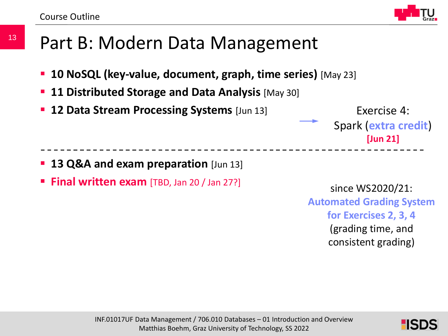

## Part B: Modern Data Management

- **10 NoSQL (key-value, document, graph, time series)** [May 23]
- **11 Distributed Storage and Data Analysis** [May 30]
- **12 Data Stream Processing Systems** [Jun 13]

Exercise 4: Spark (**extra credit**) **[Jun 21]**

- **13 Q&A and exam preparation** [Jun 13]
- **Final written exam** [TBD, Jan 20 / Jan 27?]

since WS2020/21: **Automated Grading System for Exercises 2, 3, 4** (grading time, and consistent grading)

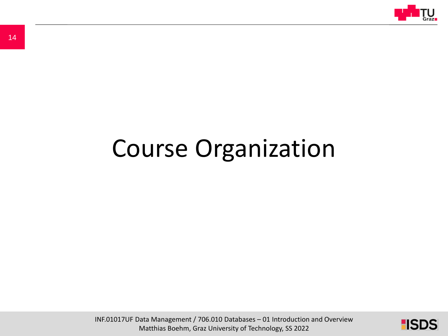

# Course Organization

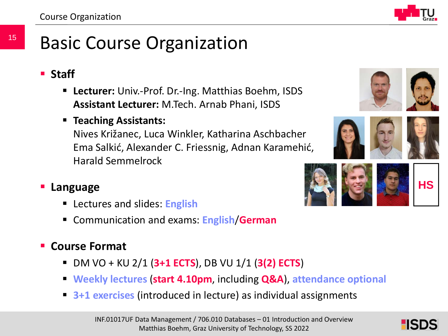# Basic Course Organization

- **Staff**
	- **Lecturer:** Univ.-Prof. Dr.-Ing. Matthias Boehm, ISDS **Assistant Lecturer:** M.Tech. Arnab Phani, ISDS
	- **Teaching Assistants:**

Nives Križanec, Luca Winkler, Katharina Aschbacher Ema Salkić, Alexander C. Friessnig, Adnan Karamehić, Harald Semmelrock







#### **Language**

- Lectures and slides: **English**
- Communication and exams: **English**/**German**

#### **Course Format**

- DM VO + KU 2/1 (**3+1 ECTS**), DB VU 1/1 (**3(2) ECTS**)
- **Weekly lectures** (**start 4.10pm**, including **Q&A**), **attendance optional**
- **3+1 exercises** (introduced in lecture) as individual assignments

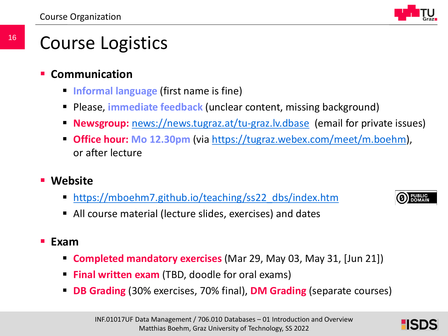# Course Logistics

- **Communication**
	- **Informal language** (first name is fine)
	- **Please, immediate feedback** (unclear content, missing background)
	- **Newsgroup:** <news://news.tugraz.at/tu-graz.lv.dbase> (email for private issues)
	- **Office hour: Mo 12.30pm** (via [https://tugraz.webex.com/meet/m.boehm\)](https://tugraz.webex.com/meet/m.boehm), or after lecture
- **Website**
	- [https://mboehm7.github.io/teaching/ss22\\_dbs/index.htm](https://mboehm7.github.io/teaching/ss22_dbs/index.htm)
	- All course material (lecture slides, exercises) and dates

**PUBLIC**<br>DOMAIN

- **Exam**
	- **Completed mandatory exercises** (Mar 29, May 03, May 31, [Jun 21])
	- **Final written exam** (TBD, doodle for oral exams)
	- **DB Grading** (30% exercises, 70% final), **DM Grading** (separate courses)

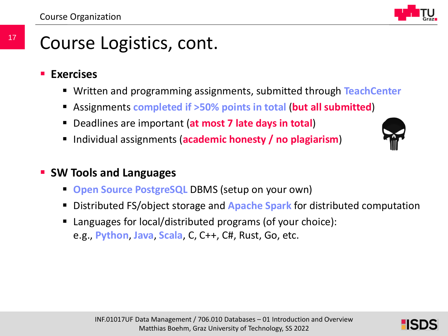#### 17 Course Logistics, cont.

- **Exercises**
	- Written and programming assignments, submitted through **TeachCenter**
	- Assignments **completed if >50% points in total** (**but all submitted**)
	- Deadlines are important (**at most 7 late days in total**)
	- **Individual assignments (academic honesty / no plagiarism)**



#### **SW Tools and Languages**

- **Open Source PostgreSQL** DBMS (setup on your own)
- Distributed FS/object storage and **Apache Spark** for distributed computation
- Languages for local/distributed programs (of your choice): e.g., **Python**, **Java**, **Scala**, C, C++, C#, Rust, Go, etc.

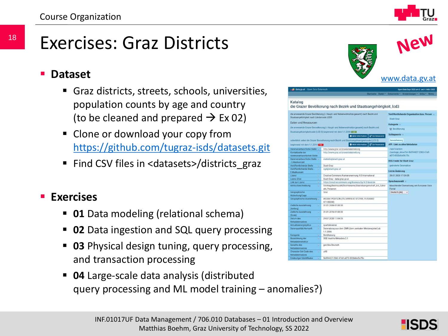# Exercises: Graz Districts

#### **Dataset**

- Graz districts, streets, schools, universities, population counts by age and country (to be cleaned and prepared  $\rightarrow$  Ex 02)
- **Clone or download your copy from** <https://github.com/tugraz-isds/datasets.git>
- Find CSV files in <datasets>/districts\_graz

#### **Exercises**

- **01** Data modeling (relational schema)
- **02** Data ingestion and SQL query processing
- **03** Physical design tuning, query processing, and transaction processing
- **04** Large-scale data analysis (distributed query processing and ML model training – anomalies?)



| data.gv.at Open Data Osterroich                     |                                                                                           | Open Data Days 2022 am 3. und 4. März 2022                |
|-----------------------------------------------------|-------------------------------------------------------------------------------------------|-----------------------------------------------------------|
|                                                     |                                                                                           | Startseite Daten * Dokumente * Anwendungen * Infos * News |
| Katalog                                             | die Grazer Bevölkerung nach Bezirk und Staatsangehörigkeit_lcd3                           |                                                           |
| Staatsangehörigkeit nach Ländercode LCD3            | die anwesende Grazer Bevölkerung (- Haupt- und Nebenwohnsitze gesamt) nach Bezirk und     | Veröffentlichende Organisation bzw. Person<br>Stadt Graz  |
| Daten und Ressourcen                                |                                                                                           | Kategorie -                                               |
|                                                     | die anwesende Grazer Bevoelkerung (- Haupt- und Nebenwohnsitze gesamt) nach Bezirk und    | the Bevölkerung                                           |
|                                                     | Staatsangehoerigkeitcode (LCD 3) beginnend mit dem 1.1.2006 1673                          |                                                           |
|                                                     | <b>O</b> Mehr Information<br><b>LE</b> Zur Resocurre                                      | Schlagworte                                               |
|                                                     |                                                                                           |                                                           |
|                                                     | ueberblick ueber die Grazer Bovoelkerung nach Bezirk und Staatsangehoerigkeitcode (LCD 3) | bevoelkerung                                              |
| beginnend mit dem 1.1.2014 From                     | O Mchr Information   C Zur Flesscurce                                                     | <b>API - Link zu allen Metadaten</b>                      |
| Datenversntwortliche Stella                         | http://www.graz.at/praesicialabteilung                                                    | /apl/3/action                                             |
| Kontaktseite der                                    | http://www.graz.at/praesicialabteilung                                                    | /package_show?id=5b594427-2363-47a9-                      |
| datenverantwortlichen Stelle                        |                                                                                           | a073-832b6bd5c75c                                         |
| Datenverantwortliche Stelle                         | statistik@stadt.craz.at                                                                   | <b>RSS-Feeds für Stadt Graz</b>                           |
| - E-Mailkontakt                                     |                                                                                           |                                                           |
| Veröffentlichende Stelle<br>×                       | Stact Graz                                                                                | geänderte Datensätze                                      |
| Voröffentlichende Stelle-<br>$\sim$<br>E-Malkontakt | ogd@stact.graz.at                                                                         | Letzte Anderung                                           |
| Lizonz<br>$\overline{\mathcal{M}}$                  | Creative Commons Namensnennung 4.0 International                                          | 29.07.2020 17:04:05                                       |
| Lizenz Zitat<br>w.                                  | Stact Graz - data graz gr.at                                                              |                                                           |
| Link zur Lizenz<br>u,                               | https://creativecommons.org/licenses/by/4.0/deed.de                                       | Sprachauswahl                                             |
| Artributbeschreibung<br>w.                          | Stichtag Bezirkszahl; Bezirksname; Staatsbuergerschaft_icd_3;Anz                          | Maschinelle Übersetzung am European Data                  |
|                                                     | ahl_Personen                                                                              | <b>Portal</b>                                             |
| Geographische<br>٠                                  | Graz                                                                                      | Dautsch (de)<br>1 G                                       |
| Abdeckung/Lage<br>Geographische Ausdehnung v        | WGS84: POLYGON (15.349914.47.012595, 15.534402                                            |                                                           |
| Zeitliche Ausdehnung<br>G.                          | 47.135208)<br>01.01.2006.01:00:00                                                         |                                                           |
| (Anfang)                                            |                                                                                           |                                                           |
| Zeitliche Ausdehnung<br>w                           | 01.01.2016 01:00:00                                                                       |                                                           |
| (Encode)                                            |                                                                                           |                                                           |
| Datum des<br>٠                                      | 29.07.2020 17:04:05                                                                       |                                                           |
| Metadatensatzes                                     |                                                                                           |                                                           |
| Aktualisierungszyklus<br>a)                         | quartalsweise                                                                             |                                                           |
| Datengualität/Herkunft<br>u.                        | Datenabzug aus dem ZMR (dem zentralen Melderegister) ab<br>1.1.2006                       |                                                           |
| Kategorie<br>ü                                      | Bevölkerung                                                                               |                                                           |
| Bozeichnung der<br>a.                               | <b>DGD Austria Metadata 2.1</b>                                                           |                                                           |
| Metadatenstruktur                                   |                                                                                           |                                                           |
| Sarache des<br>٠                                    | ger/deu Deutsch                                                                           |                                                           |
| Metadatensatzes                                     |                                                                                           |                                                           |
|                                                     |                                                                                           |                                                           |
| Character Set Code des<br>×<br>Metadatensatzes      | utf8                                                                                      |                                                           |

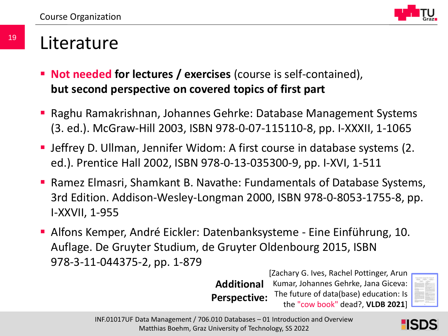

### Literature

- **Not needed for lectures / exercises** (course is self-contained), **but second perspective on covered topics of first part**
- Raghu Ramakrishnan, Johannes Gehrke: Database Management Systems (3. ed.). McGraw-Hill 2003, ISBN 978-0-07-115110-8, pp. I-XXXII, 1-1065
- Jeffrey D. Ullman, Jennifer Widom: A first course in database systems (2. ed.). Prentice Hall 2002, ISBN 978-0-13-035300-9, pp. I-XVI, 1-511
- Ramez Elmasri, Shamkant B. Navathe: Fundamentals of Database Systems, 3rd Edition. Addison-Wesley-Longman 2000, ISBN 978-0-8053-1755-8, pp. I-XXVII, 1-955
- Alfons Kemper, André Eickler: Datenbanksysteme Eine Einführung, 10. Auflage. De Gruyter Studium, de Gruyter Oldenbourg 2015, ISBN 978-3-11-044375-2, pp. 1-879

**Additional Perspective:**

[Zachary G. Ives, Rachel Pottinger, Arun Kumar, Johannes Gehrke, Jana Giceva: The future of data(base) education: Is the "cow book" dead?, **VLDB 2021**]



INF.01017UF Data Management / 706.010 Databases – 01 Introduction and Overview Matthias Boehm, Graz University of Technology, SS 2022

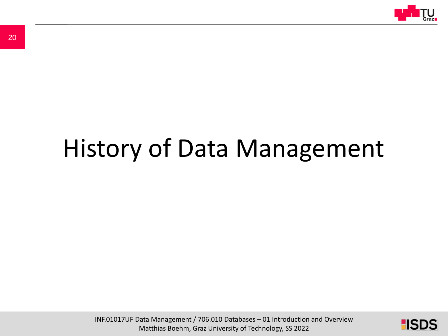

# History of Data Management

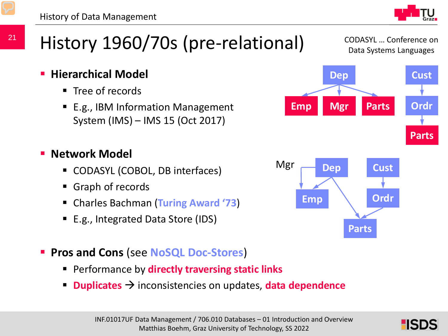# History 1960/70s (pre-relational)

- $\blacksquare$  Tree of records
- E.g., IBM Information Management System (IMS) – IMS 15 (Oct 2017)

#### **Network Model**

- CODASYL (COBOL, DB interfaces)
- Graph of records
- Charles Bachman (**Turing Award '73**)
- E.g., Integrated Data Store (IDS)
- **Pros and Cons** (see **NoSQL Doc-Stores**)
	- Performance by **directly traversing static links**
	- **Duplicates**  $\rightarrow$  inconsistencies on updates, **data dependence**





**Parts**



CODASYL … Conference on Data Systems Languages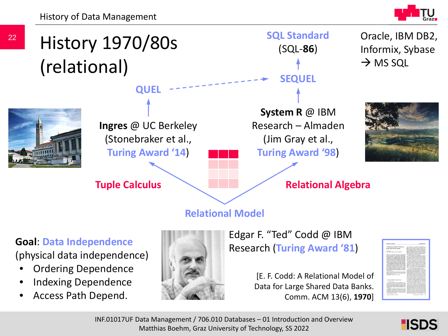History of Data Management





#### **Goal**: **Data Independence**

(physical data independence)

- Ordering Dependence
- Indexing Dependence
- Access Path Depend.



Edgar F. "Ted" Codd @ IBM Research (**Turing Award '81**)

> [E. F. Codd: A Relational Model of Data for Large Shared Data Banks. Comm. ACM 13(6), **1970**]



**HISDS** 

INF.01017UF Data Management / 706.010 Databases – 01 Introduction and Overview Matthias Boehm, Graz University of Technology, SS 2022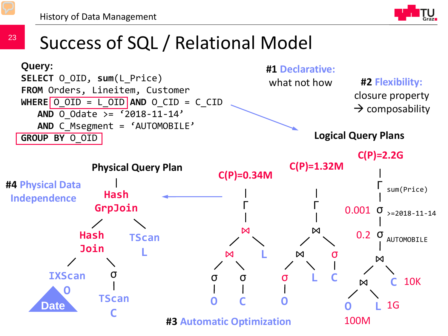23



# Success of SQL / Relational Model

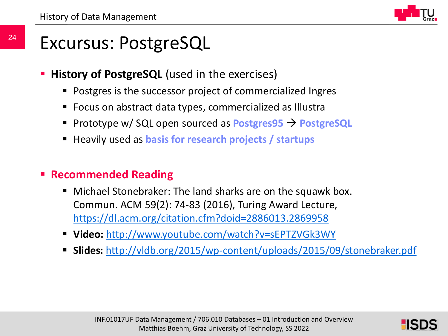# Excursus: PostgreSQL

- **History of PostgreSQL** (used in the exercises)
	- Postgres is the successor project of commercialized Ingres
	- Focus on abstract data types, commercialized as Illustra
	- Prototype w/ SQL open sourced as **Postgres95 PostgreSQL**
	- Heavily used as **basis for research projects / startups**

#### **Recommended Reading**

- Michael Stonebraker: The land sharks are on the squawk box. Commun. ACM 59(2): 74-83 (2016), Turing Award Lecture, <https://dl.acm.org/citation.cfm?doid=2886013.2869958>
- **Video:** <http://www.youtube.com/watch?v=sEPTZVGk3WY>
- **Slides:** <http://vldb.org/2015/wp-content/uploads/2015/09/stonebraker.pdf>

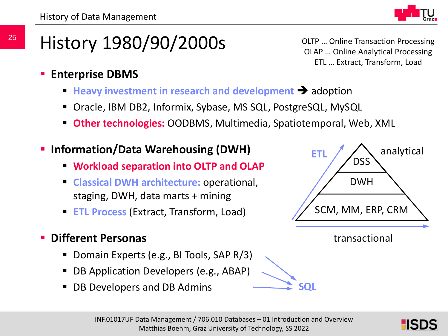

# History 1980/90/2000s

OLTP … Online Transaction Processing OLAP … Online Analytical Processing ETL … Extract, Transform, Load

- **Enterprise DBMS**
	- Heavy investment in research and development **+** adoption
	- Oracle, IBM DB2, Informix, Sybase, MS SQL, PostgreSQL, MySQL
	- **Other technologies:** OODBMS, Multimedia, Spatiotemporal, Web, XML
- **Information/Data Warehousing (DWH)**
	- **Workload separation into OLTP and OLAP**
	- **Classical DWH architecture:** operational, staging, DWH, data marts + mining
	- **ETL Process** (Extract, Transform, Load)
- **Different Personas**
	- Domain Experts (e.g., BI Tools, SAP R/3)
	- DB Application Developers (e.g., ABAP)
	- DB Developers and DB Admins

| analytical<br>ETI<br><b>DSS</b> |  |
|---------------------------------|--|
| <b>DWH</b>                      |  |
| SCM, MM, ERP, CRM               |  |
|                                 |  |

transactional

**SQL**

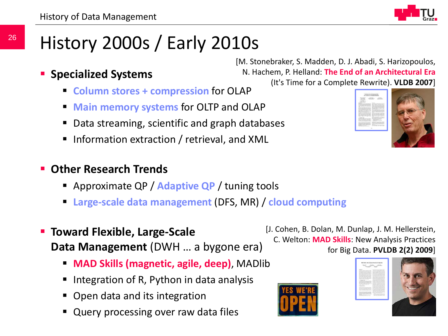# History 2000s / Early 2010s

- **Specialized Systems**
	- **Column stores + compression** for OLAP
	- **Main memory systems** for OLTP and OLAP
	- Data streaming, scientific and graph databases
	- **Information extraction / retrieval, and XML**
- **Other Research Trends**
	- Approximate QP / **Adaptive QP** / tuning tools
	- **Large-scale data management** (DFS, MR) / **cloud computing**
- **Toward Flexible, Large-Scale Data Management** (DWH … a bygone era)
	- **MAD Skills (magnetic, agile, deep)**, MADlib
	- Integration of R, Python in data analysis
	- Open data and its integration
	- $\overline{a_1}$  data management  $\overline{a_2}$ Query processing over raw data files

[M. Stonebraker, S. Madden, D. J. Abadi, S. Harizopoulos, N. Hachem, P. Helland: **The End of an Architectural Era**  (It's Time for a Complete Rewrite). **VLDB 2007**]



[J. Cohen, B. Dolan, M. Dunlap, J. M. Hellerstein, C. Welton: **MAD Skills**: New Analysis Practices for Big Data. **PVLDB 2(2) 2009**]



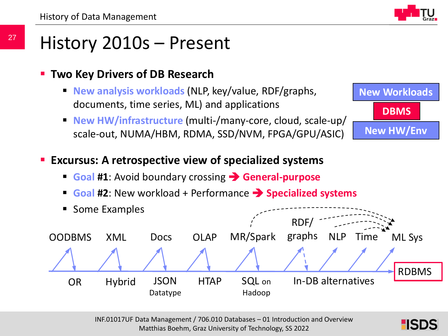## History 2010s – Present

#### **Two Key Drivers of DB Research**

- **New analysis workloads** (NLP, key/value, RDF/graphs, documents, time series, ML) and applications
- **New HW/infrastructure** (multi-/many-core, cloud, scale-up/ scale-out, NUMA/HBM, RDMA, SSD/NVM, FPGA/GPU/ASIC)



#### **Excursus: A retrospective view of specialized systems**

- **Goal #1:** Avoid boundary crossing **Bulge Seneral-purpose**
- **Goal #2**: New workload + Performance **>>>> Specialized systems**



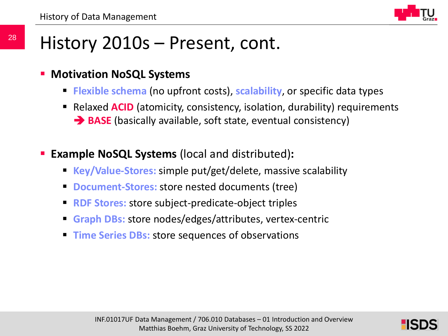

# History 2010s – Present, cont.

#### **Motivation NoSQL Systems**

- **Flexible schema** (no upfront costs), **scalability**, or specific data types
- **E** Relaxed **ACID** (atomicity, consistency, isolation, durability) requirements **BASE** (basically available, soft state, eventual consistency)
- **Example NoSQL Systems** (local and distributed)**:**
	- **Key/Value-Stores:** simple put/get/delete, massive scalability
	- **Document-Stores:** store nested documents (tree)
	- **RDF Stores:** store subject-predicate-object triples
	- **Graph DBs:** store nodes/edges/attributes, vertex-centric
	- **Time Series DBs:** store sequences of observations

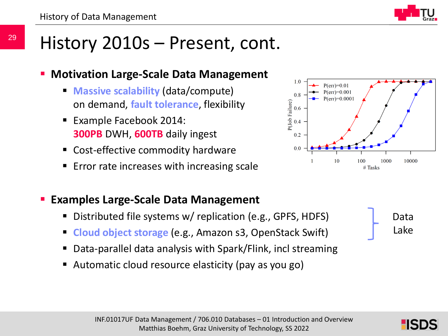# History 2010s – Present, cont.

#### **Motivation Large-Scale Data Management**

- **Massive scalability** (data/compute) on demand, **fault tolerance**, flexibility
- **Example Facebook 2014: 300PB** DWH, **600TB** daily ingest
- Cost-effective commodity hardware
- **Error rate increases with increasing scale**



- Distributed file systems w/ replication (e.g., GPFS, HDFS)
- **Cloud object storage** (e.g., Amazon s3, OpenStack Swift)
- Data-parallel data analysis with Spark/Flink, incl streaming
- Automatic cloud resource elasticity (pay as you go)